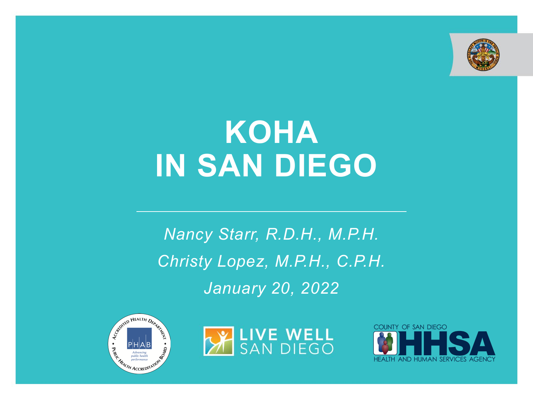

# **KOHA IN SAN DIEGO**

*Nancy Starr, R.D.H., M.P.H. Christy Lopez, M.P.H., C.P.H. January 20, 2022*





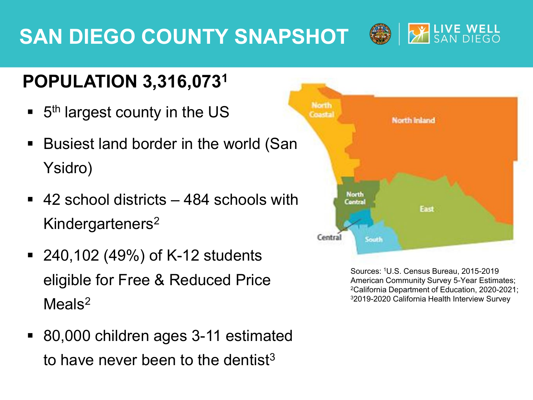# **SAN DIEGO COUNTY SNAPSHOT**



- $\blacksquare$  5<sup>th</sup> largest county in the US
- Busiest land border in the world (San Ysidro)
- 42 school districts 484 schools with Kindergarteners2
- 240,102 (49%) of K-12 students eligible for Free & Reduced Price Meals<sup>2</sup>
- 80,000 children ages 3-11 estimated to have never been to the dentist<sup>3</sup>



**X LIVE WELL** 

Sources: 1U.S. Census Bureau, 2015-2019 American Community Survey 5-Year Estimates; 2California Department of Education, 2020-2021; 32019-2020 California Health Interview Survey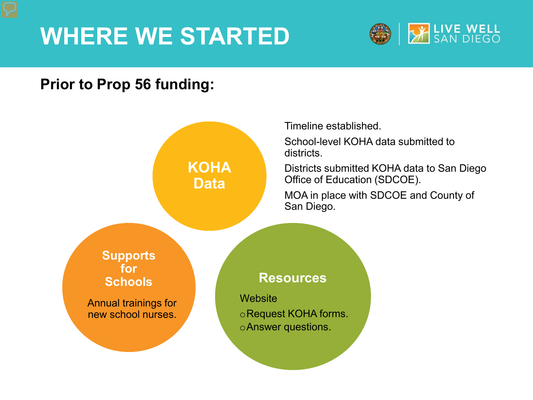# **WHERE WE STARTED**



#### **Prior to Prop 56 funding:**

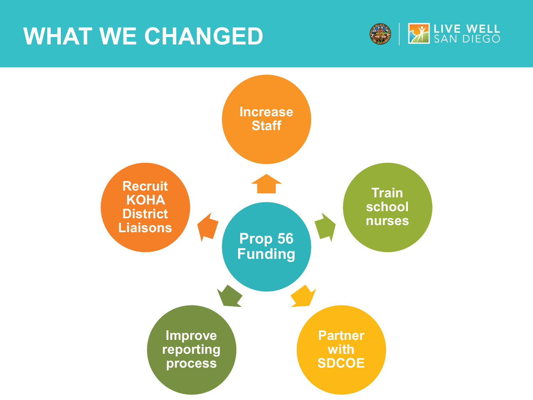# **WHAT WE CHANGED**



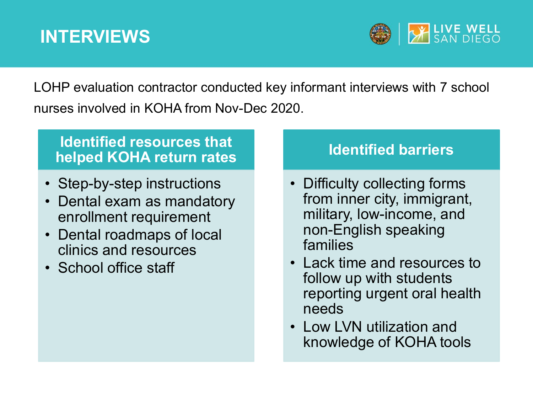### **INTERVIEWS**



LOHP evaluation contractor conducted key informant interviews with 7 school nurses involved in KOHA from Nov-Dec 2020.

#### **Identified resources that helped KOHA return rates**

- Step-by-step instructions
- Dental exam as mandatory enrollment requirement
- Dental roadmaps of local clinics and resources
- School office staff

#### **Identified barriers**

- Difficulty collecting forms from inner city, immigrant, military, low-income, and non-English speaking families
- Lack time and resources to follow up with students reporting urgent oral health needs
- Low LVN utilization and knowledge of KOHA tools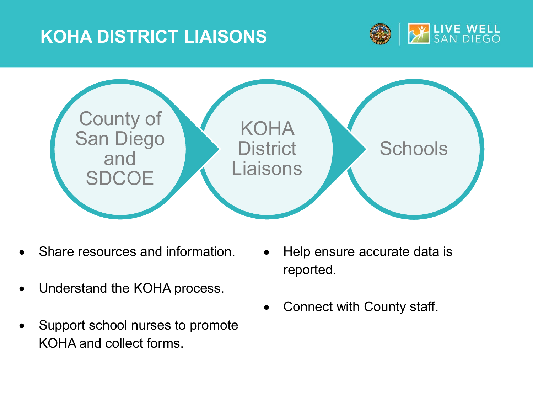### **KOHA DISTRICT LIAISONS**





- Share resources and information.
- Understand the KOHA process.
- Support school nurses to promote KOHA and collect forms.
- Help ensure accurate data is reported.
- Connect with County staff.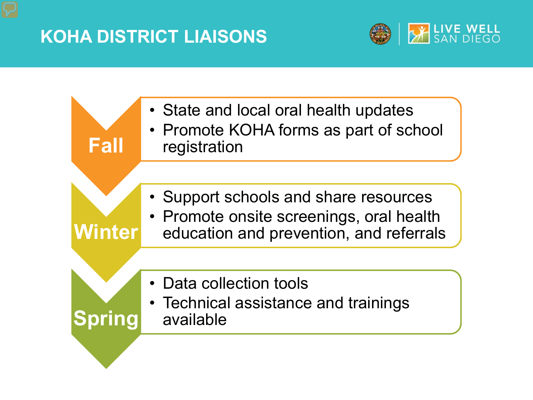### **KOHA DISTRICT LIAISONS**



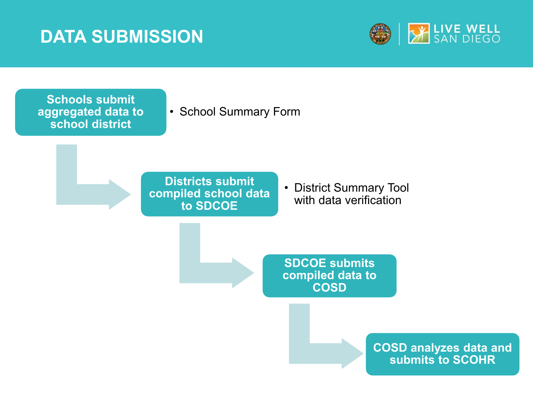### **DATA SUBMISSION**



**Schools submit aggregated data to school district**

• School Summary Form

**Districts submit compiled school data to SDCOE**

• District Summary Tool with data verification

**SDCOE submits compiled data to COSD**

> **COSD analyzes data and submits to SCOHR**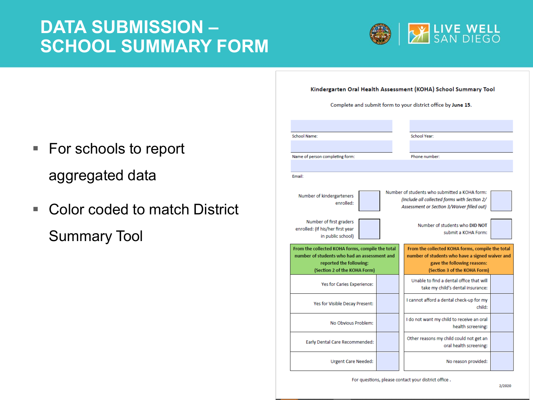### **DATA SUBMISSION – SCHOOL SUMMARY FORM**



- Complete and submit form to your district office by June 15. **School Name:** School Year: Name of person completing form: Phone number: Email: Number of students who submitted a KOHA form: Number of kindergarteners (Include all collected forms with Section 2/ enrolled: Assessment or Section 3/Waiver filled out) Number of first graders Number of students who DID NOT enrolled: (If his/her first year submit a KOHA Form: in public school) From the collected KOHA forms, compile the total From the collected KOHA forms, compile the total number of students who had an assessment and number of students who have a signed waiver and reported the following: gave the following reasons: (Section 2 of the KOHA Form) (Section 3 of the KOHA Form) Unable to find a dental office that will Yes for Caries Experience: take my child's dental insurance: I cannot afford a dental check-up for my Yes for Visible Decay Present: child: I do not want my child to receive an oral No Obvious Problem: health screening: Other reasons my child could not get an Early Dental Care Recommended: oral health screening: **Urgent Care Needed:** No reason provided:
	- For questions, please contact your district office.
- For schools to report aggregated data
- Color coded to match District Summary Tool

#### Kindergarten Oral Health Assessment (KOHA) School Summary Tool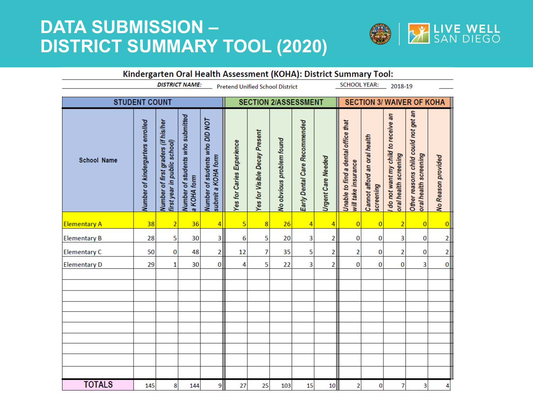### **DATA SUBMISSION – DISTRICT SUMMARY TOOL (2020)**



| Kindergarten Oral Health Assessment (KOHA): District Summary Tool: |                                  |                                                                          |                                                 |                                                      |                           |                               |                          |                               |                           |                                                            |                                           |                                                             |                                                               |                    |
|--------------------------------------------------------------------|----------------------------------|--------------------------------------------------------------------------|-------------------------------------------------|------------------------------------------------------|---------------------------|-------------------------------|--------------------------|-------------------------------|---------------------------|------------------------------------------------------------|-------------------------------------------|-------------------------------------------------------------|---------------------------------------------------------------|--------------------|
|                                                                    | <b>DISTRICT NAME:</b>            | <b>SCHOOL YEAR:</b><br><b>Pretend Unified School District</b><br>2018-19 |                                                 |                                                      |                           |                               |                          |                               |                           |                                                            |                                           |                                                             |                                                               |                    |
| <b>STUDENT COUNT</b>                                               |                                  |                                                                          |                                                 |                                                      |                           | <b>SECTION 2/ASSESSMENT</b>   |                          |                               |                           | <b>SECTION 3/ WAIVER OF KOHA</b>                           |                                           |                                                             |                                                               |                    |
| <b>School Name</b>                                                 | Number of kindergarters enrolled | Number of first graders (if his/her<br>first year in public school)      | Number of students who submitted<br>a KOHA form | Number of students who DID NOT<br>submit a KOHA form | Yes for Caries Experience | Yes for Visible Decay Present | No obvious problem found | Early Dental Care Recommended | <b>Urgent Care Needed</b> | Unable to find a dental office that<br>will take insurance | Cannot afford an oral health<br>screening | do not want my child to receive an<br>oral health screening | Other reasons child could not get an<br>oral health screening | No Reason provided |
| <b>Elementary A</b>                                                | 38                               | $\overline{2}$                                                           | 36                                              | $\overline{4}$                                       | 5                         | 8                             | 26                       | 4                             | $\vert 4 \vert$           | $\overline{0}$                                             | $\overline{0}$                            | $\overline{2}$                                              | $\overline{0}$                                                | 0                  |
| <b>Elementary B</b>                                                | 28                               | 5                                                                        | 30                                              | 3                                                    | 6                         | 5                             | 20                       | 3                             | $\overline{2}$            | 0                                                          | 0                                         | 3                                                           | 0                                                             | $2\vert$           |
| <b>Elementary C</b>                                                | 50                               | 0                                                                        | 48                                              | $\overline{2}$                                       | 12                        | 7                             | 35                       | 5                             | $\overline{2}$            | $\overline{\mathbf{c}}$                                    | 0                                         | 2                                                           | 0                                                             | $2\vert$           |
| <b>Elementary D</b>                                                | 29                               | 1                                                                        | 30                                              | $\bf{0}$                                             | 4                         | 5                             | 22                       | 3                             | $\overline{2}$            | 0                                                          | 0                                         | 0                                                           | 3                                                             | 0                  |
|                                                                    |                                  |                                                                          |                                                 |                                                      |                           |                               |                          |                               |                           |                                                            |                                           |                                                             |                                                               |                    |
|                                                                    |                                  |                                                                          |                                                 |                                                      |                           |                               |                          |                               |                           |                                                            |                                           |                                                             |                                                               |                    |
|                                                                    |                                  |                                                                          |                                                 |                                                      |                           |                               |                          |                               |                           |                                                            |                                           |                                                             |                                                               |                    |
|                                                                    |                                  |                                                                          |                                                 |                                                      |                           |                               |                          |                               |                           |                                                            |                                           |                                                             |                                                               |                    |
|                                                                    |                                  |                                                                          |                                                 |                                                      |                           |                               |                          |                               |                           |                                                            |                                           |                                                             |                                                               |                    |
|                                                                    |                                  |                                                                          |                                                 |                                                      |                           |                               |                          |                               |                           |                                                            |                                           |                                                             |                                                               |                    |
|                                                                    |                                  |                                                                          |                                                 |                                                      |                           |                               |                          |                               |                           |                                                            |                                           |                                                             |                                                               |                    |
|                                                                    |                                  |                                                                          |                                                 |                                                      |                           |                               |                          |                               |                           |                                                            |                                           |                                                             |                                                               |                    |
| <b>TOTALS</b>                                                      | 145                              | 8                                                                        | 144                                             | 9                                                    | 27                        | 25                            | 103                      | 15                            | 10                        | $\overline{\mathbf{c}}$                                    | $\pmb{0}$                                 | 7                                                           | 3                                                             | $\overline{4}$     |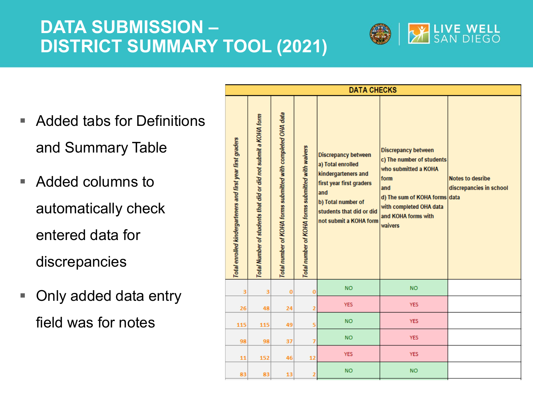### **DATA SUBMISSION – DISTRICT SUMMARY TOOL (2021)**



- Added tabs for Definitions and Summary Table
- Added columns to automatically check entered data for discrepancies
- Only added data entry field was for notes

| <b>DATA CHECKS</b>                                          |                                                                 |                                                              |                                                   |                                                                                                                                                                                       |                                                                                                                                                                                              |                                                    |  |  |  |
|-------------------------------------------------------------|-----------------------------------------------------------------|--------------------------------------------------------------|---------------------------------------------------|---------------------------------------------------------------------------------------------------------------------------------------------------------------------------------------|----------------------------------------------------------------------------------------------------------------------------------------------------------------------------------------------|----------------------------------------------------|--|--|--|
| Total enrolled kindergarteners and first year first graders | Total Number of students that did or did not submit a KOHA form | Total number of KOHA forms submitted with completed OHA data | Total number of KOHA forms submitted with waivers | <b>Discrepancy between</b><br>a) Total enrolled<br>kindergarteners and<br>first year first graders<br>and<br>b) Total number of<br>students that did or did<br>not submit a KOHA form | <b>Discrepancy between</b><br>c) The number of students<br>who submitted a KOHA<br>form<br>and<br>d) The sum of KOHA forms data<br>with completed OHA data<br>and KOHA forms with<br>waivers | <b>Notes to desribe</b><br>discrepancies in school |  |  |  |
| 3                                                           | 3                                                               | $\bf{0}$                                                     | o                                                 | <b>NO</b>                                                                                                                                                                             | NO.                                                                                                                                                                                          |                                                    |  |  |  |
| 26                                                          | 48                                                              | 24                                                           | $\overline{2}$                                    | <b>YES</b>                                                                                                                                                                            | <b>YES</b>                                                                                                                                                                                   |                                                    |  |  |  |
| 115                                                         | 115                                                             | 49                                                           | 5                                                 | <b>NO</b>                                                                                                                                                                             | <b>YES</b>                                                                                                                                                                                   |                                                    |  |  |  |
| 98                                                          | 98                                                              | 37                                                           | 7                                                 | <b>NO</b>                                                                                                                                                                             | <b>YES</b>                                                                                                                                                                                   |                                                    |  |  |  |
| 11                                                          | 152                                                             | 46                                                           | 12                                                | <b>YES</b>                                                                                                                                                                            | <b>YES</b>                                                                                                                                                                                   |                                                    |  |  |  |
| 83                                                          | 83                                                              | 13                                                           | $\overline{2}$                                    | <b>NO</b>                                                                                                                                                                             | <b>NO</b>                                                                                                                                                                                    |                                                    |  |  |  |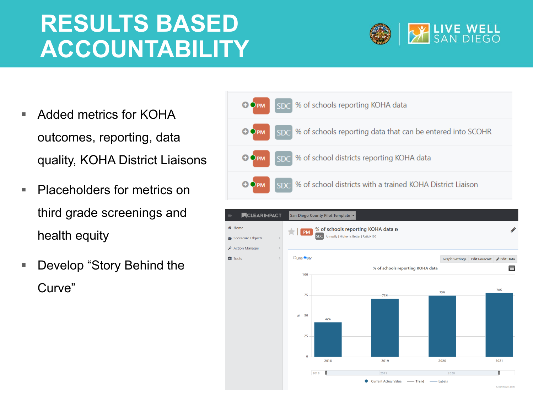# **RESULTS BASED ACCOUNTABILITY**



- Added metrics for KOHA outcomes, reporting, data quality, KOHA District Liaisons
- **Placeholders for metrics on** third grade screenings and health equity
- Develop "Story Behind the Curve"



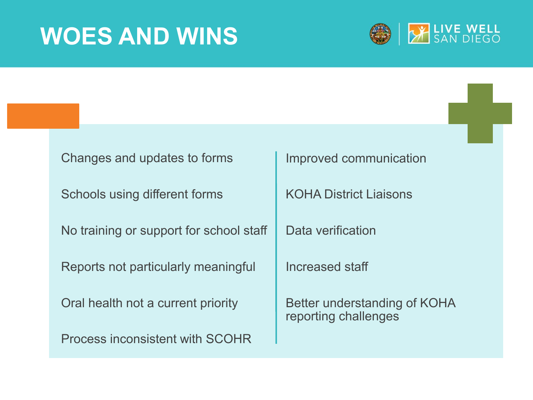# **WOES AND WINS**



| Changes and updates to forms            | Improved communication                               |
|-----------------------------------------|------------------------------------------------------|
| Schools using different forms           | <b>KOHA District Liaisons</b>                        |
| No training or support for school staff | Data verification                                    |
|                                         |                                                      |
| Reports not particularly meaningful     | Increased staff                                      |
| Oral health not a current priority      | Better understanding of KOHA<br>reporting challenges |
| Process inconsistent with SCOHR         |                                                      |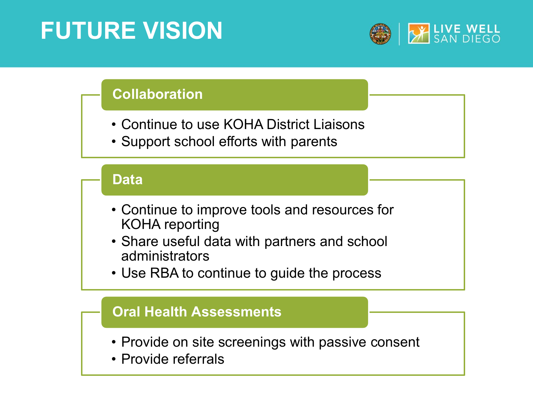# **FUTURE VISION**



#### **Collaboration**

- Continue to use KOHA District Liaisons
- Support school efforts with parents

#### **Data**

- Continue to improve tools and resources for KOHA reporting
- Share useful data with partners and school administrators
- Use RBA to continue to guide the process

#### **Oral Health Assessments**

- Provide on site screenings with passive consent
- Provide referrals